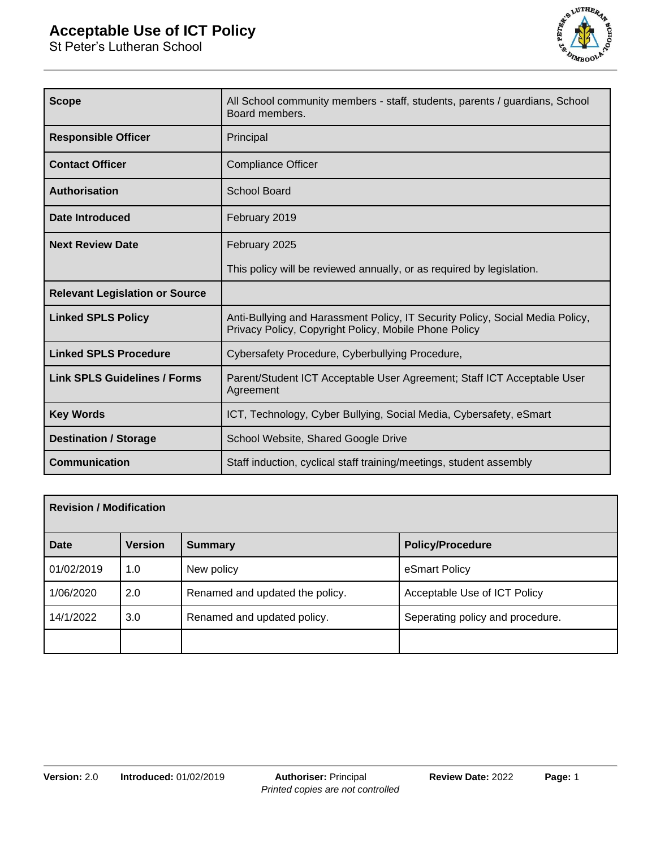# **Acceptable Use of ICT Policy**

St Peter's Lutheran School



| <b>Scope</b>                          | All School community members - staff, students, parents / guardians, School<br>Board members.                                          |  |
|---------------------------------------|----------------------------------------------------------------------------------------------------------------------------------------|--|
| <b>Responsible Officer</b>            | Principal                                                                                                                              |  |
| <b>Contact Officer</b>                | <b>Compliance Officer</b>                                                                                                              |  |
| <b>Authorisation</b>                  | <b>School Board</b>                                                                                                                    |  |
| <b>Date Introduced</b>                | February 2019                                                                                                                          |  |
| <b>Next Review Date</b>               | February 2025                                                                                                                          |  |
|                                       | This policy will be reviewed annually, or as required by legislation.                                                                  |  |
| <b>Relevant Legislation or Source</b> |                                                                                                                                        |  |
| <b>Linked SPLS Policy</b>             | Anti-Bullying and Harassment Policy, IT Security Policy, Social Media Policy,<br>Privacy Policy, Copyright Policy, Mobile Phone Policy |  |
| <b>Linked SPLS Procedure</b>          | Cybersafety Procedure, Cyberbullying Procedure,                                                                                        |  |
| <b>Link SPLS Guidelines / Forms</b>   | Parent/Student ICT Acceptable User Agreement; Staff ICT Acceptable User<br>Agreement                                                   |  |
| <b>Key Words</b>                      | ICT, Technology, Cyber Bullying, Social Media, Cybersafety, eSmart                                                                     |  |
| <b>Destination / Storage</b>          | School Website, Shared Google Drive                                                                                                    |  |
| <b>Communication</b>                  | Staff induction, cyclical staff training/meetings, student assembly                                                                    |  |

| <b>Revision / Modification</b> |                |                                 |                                  |
|--------------------------------|----------------|---------------------------------|----------------------------------|
| Date                           | <b>Version</b> | <b>Summary</b>                  | <b>Policy/Procedure</b>          |
| 01/02/2019                     | 1.0            | New policy                      | eSmart Policy                    |
| 1/06/2020                      | 2.0            | Renamed and updated the policy. | Acceptable Use of ICT Policy     |
| 14/1/2022                      | 3.0            | Renamed and updated policy.     | Seperating policy and procedure. |
|                                |                |                                 |                                  |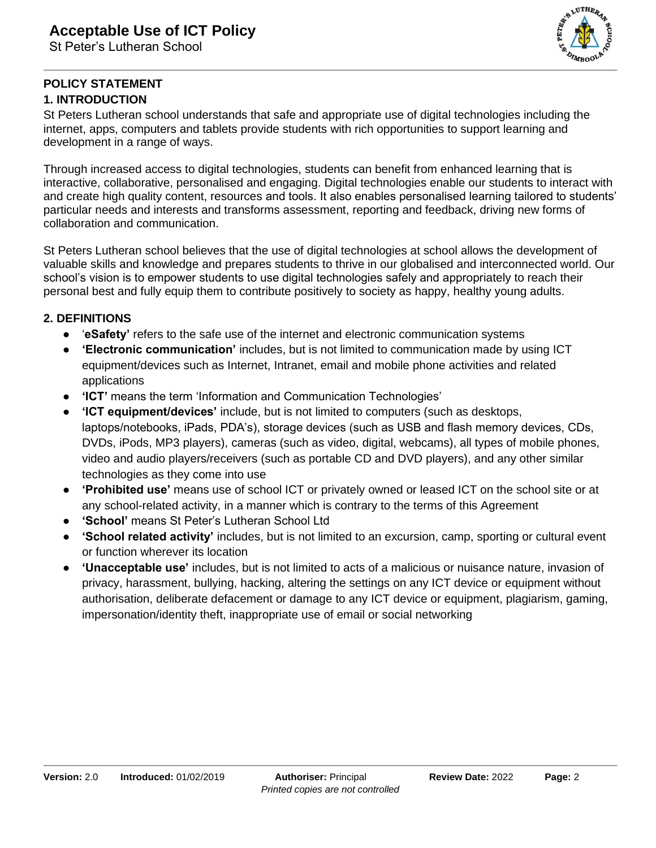

#### **POLICY STATEMENT 1. INTRODUCTION**

St Peters Lutheran school understands that safe and appropriate use of digital technologies including the internet, apps, computers and tablets provide students with rich opportunities to support learning and development in a range of ways.

Through increased access to digital technologies, students can benefit from enhanced learning that is interactive, collaborative, personalised and engaging. Digital technologies enable our students to interact with and create high quality content, resources and tools. It also enables personalised learning tailored to students' particular needs and interests and transforms assessment, reporting and feedback, driving new forms of collaboration and communication.

St Peters Lutheran school believes that the use of digital technologies at school allows the development of valuable skills and knowledge and prepares students to thrive in our globalised and interconnected world. Our school's vision is to empower students to use digital technologies safely and appropriately to reach their personal best and fully equip them to contribute positively to society as happy, healthy young adults.

### **2. DEFINITIONS**

- '**eSafety'** refers to the safe use of the internet and electronic communication systems
- **'Electronic communication'** includes, but is not limited to communication made by using ICT equipment/devices such as Internet, Intranet, email and mobile phone activities and related applications
- **'ICT'** means the term 'Information and Communication Technologies'
- **'ICT equipment/devices'** include, but is not limited to computers (such as desktops, laptops/notebooks, iPads, PDA's), storage devices (such as USB and flash memory devices, CDs, DVDs, iPods, MP3 players), cameras (such as video, digital, webcams), all types of mobile phones, video and audio players/receivers (such as portable CD and DVD players), and any other similar technologies as they come into use
- **'Prohibited use'** means use of school ICT or privately owned or leased ICT on the school site or at any school-related activity, in a manner which is contrary to the terms of this Agreement
- **'School'** means St Peter's Lutheran School Ltd
- **'School related activity'** includes, but is not limited to an excursion, camp, sporting or cultural event or function wherever its location
- **'Unacceptable use'** includes, but is not limited to acts of a malicious or nuisance nature, invasion of privacy, harassment, bullying, hacking, altering the settings on any ICT device or equipment without authorisation, deliberate defacement or damage to any ICT device or equipment, plagiarism, gaming, impersonation/identity theft, inappropriate use of email or social networking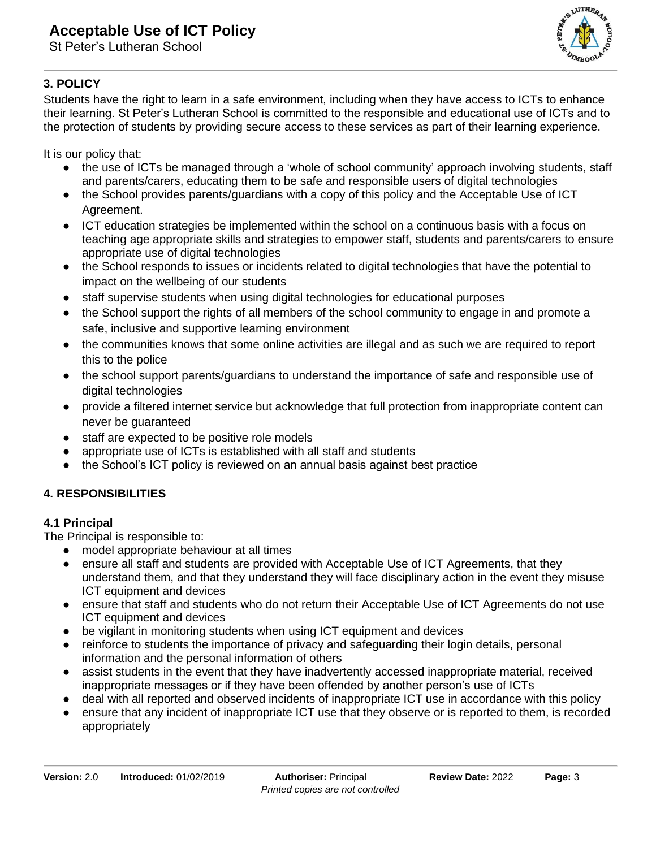# **Acceptable Use of ICT Policy**

St Peter's Lutheran School



### **3. POLICY**

Students have the right to learn in a safe environment, including when they have access to ICTs to enhance their learning. St Peter's Lutheran School is committed to the responsible and educational use of ICTs and to the protection of students by providing secure access to these services as part of their learning experience.

It is our policy that:

- the use of ICTs be managed through a 'whole of school community' approach involving students, staff and parents/carers, educating them to be safe and responsible users of digital technologies
- the School provides parents/guardians with a copy of this policy and the Acceptable Use of ICT Agreement.
- ICT education strategies be implemented within the school on a continuous basis with a focus on teaching age appropriate skills and strategies to empower staff, students and parents/carers to ensure appropriate use of digital technologies
- the School responds to issues or incidents related to digital technologies that have the potential to impact on the wellbeing of our students
- staff supervise students when using digital technologies for educational purposes
- the School support the rights of all members of the school community to engage in and promote a safe, inclusive and supportive learning environment
- the communities knows that some online activities are illegal and as such we are required to report this to the police
- the school support parents/guardians to understand the importance of safe and responsible use of digital technologies
- provide a filtered internet service but acknowledge that full protection from inappropriate content can never be guaranteed
- staff are expected to be positive role models
- appropriate use of ICTs is established with all staff and students
- the School's ICT policy is reviewed on an annual basis against best practice

### **4. RESPONSIBILITIES**

#### **4.1 Principal**

The Principal is responsible to:

- model appropriate behaviour at all times
- ensure all staff and students are provided with Acceptable Use of ICT Agreements, that they understand them, and that they understand they will face disciplinary action in the event they misuse ICT equipment and devices
- ensure that staff and students who do not return their Acceptable Use of ICT Agreements do not use ICT equipment and devices
- be vigilant in monitoring students when using ICT equipment and devices
- reinforce to students the importance of privacy and safeguarding their login details, personal information and the personal information of others
- assist students in the event that they have inadvertently accessed inappropriate material, received inappropriate messages or if they have been offended by another person's use of ICTs
- deal with all reported and observed incidents of inappropriate ICT use in accordance with this policy
- ensure that any incident of inappropriate ICT use that they observe or is reported to them, is recorded appropriately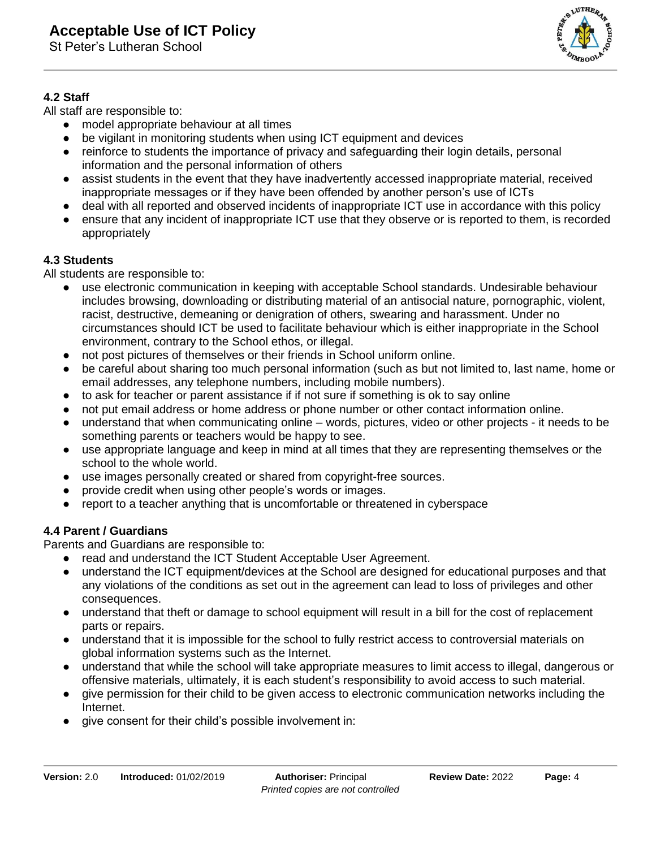St Peter's Lutheran School



#### **4.2 Staff**

All staff are responsible to:

- model appropriate behaviour at all times
- be vigilant in monitoring students when using ICT equipment and devices
- reinforce to students the importance of privacy and safeguarding their login details, personal information and the personal information of others
- assist students in the event that they have inadvertently accessed inappropriate material, received inappropriate messages or if they have been offended by another person's use of ICTs
- deal with all reported and observed incidents of inappropriate ICT use in accordance with this policy
- ensure that any incident of inappropriate ICT use that they observe or is reported to them, is recorded appropriately

#### **4.3 Students**

All students are responsible to:

- use electronic communication in keeping with acceptable School standards. Undesirable behaviour includes browsing, downloading or distributing material of an antisocial nature, pornographic, violent, racist, destructive, demeaning or denigration of others, swearing and harassment. Under no circumstances should ICT be used to facilitate behaviour which is either inappropriate in the School environment, contrary to the School ethos, or illegal.
- not post pictures of themselves or their friends in School uniform online.
- be careful about sharing too much personal information (such as but not limited to, last name, home or email addresses, any telephone numbers, including mobile numbers).
- to ask for teacher or parent assistance if if not sure if something is ok to say online
- not put email address or home address or phone number or other contact information online.
- understand that when communicating online words, pictures, video or other projects it needs to be something parents or teachers would be happy to see.
- use appropriate language and keep in mind at all times that they are representing themselves or the school to the whole world.
- use images personally created or shared from copyright-free sources.
- provide credit when using other people's words or images.
- report to a teacher anything that is uncomfortable or threatened in cyberspace

#### **4.4 Parent / Guardians**

Parents and Guardians are responsible to:

- read and understand the ICT Student Acceptable User Agreement.
- understand the ICT equipment/devices at the School are designed for educational purposes and that any violations of the conditions as set out in the agreement can lead to loss of privileges and other consequences.
- understand that theft or damage to school equipment will result in a bill for the cost of replacement parts or repairs.
- understand that it is impossible for the school to fully restrict access to controversial materials on global information systems such as the Internet.
- understand that while the school will take appropriate measures to limit access to illegal, dangerous or offensive materials, ultimately, it is each student's responsibility to avoid access to such material.
- give permission for their child to be given access to electronic communication networks including the Internet.
- give consent for their child's possible involvement in: